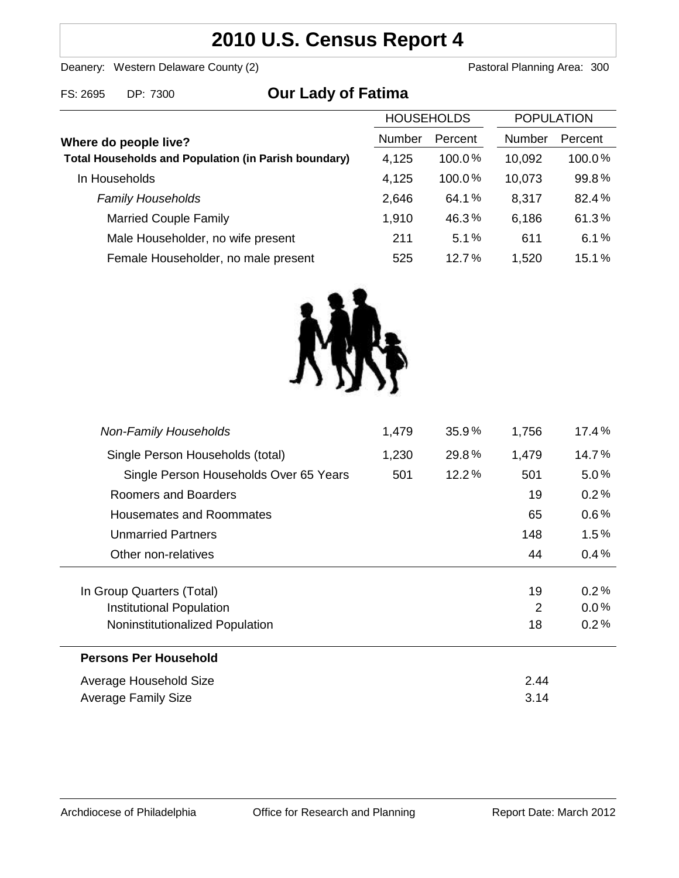# **2010 U.S. Census Report 4**

Deanery: Western Delaware County (2) Deanery: Western Delaware County (2)

| FS: 2695                                                                             | DP: 7300                            | <b>Our Lady of Fatima</b> |                   |               |                   |        |
|--------------------------------------------------------------------------------------|-------------------------------------|---------------------------|-------------------|---------------|-------------------|--------|
|                                                                                      |                                     |                           | <b>HOUSEHOLDS</b> |               | <b>POPULATION</b> |        |
| Where do people live?<br><b>Total Households and Population (in Parish boundary)</b> |                                     | Number                    | Percent           | <b>Number</b> | Percent           |        |
|                                                                                      |                                     |                           | 4,125             | $100.0\%$     | 10,092            | 100.0% |
|                                                                                      | In Households                       |                           | 4,125             | 100.0%        | 10,073            | 99.8%  |
|                                                                                      | <b>Family Households</b>            |                           | 2,646             | 64.1%         | 8,317             | 82.4%  |
|                                                                                      | <b>Married Couple Family</b>        |                           | 1,910             | 46.3%         | 6,186             | 61.3%  |
|                                                                                      | Male Householder, no wife present   |                           | 211               | 5.1%          | 611               | 6.1%   |
|                                                                                      | Female Householder, no male present |                           | 525               | 12.7%         | 1,520             | 15.1%  |



| <b>Non-Family Households</b>           | 1,479 | 35.9% | 1,756 | 17.4%   |
|----------------------------------------|-------|-------|-------|---------|
| Single Person Households (total)       | 1,230 | 29.8% | 1,479 | 14.7%   |
| Single Person Households Over 65 Years | 501   | 12.2% | 501   | 5.0%    |
| Roomers and Boarders                   |       |       | 19    | 0.2%    |
| Housemates and Roommates               |       |       | 65    | $0.6\%$ |
| <b>Unmarried Partners</b>              |       |       | 148   | $1.5\%$ |
| Other non-relatives                    |       |       | 44    | 0.4%    |
|                                        |       |       |       |         |
| In Group Quarters (Total)              |       |       | 19    | 0.2%    |
| Institutional Population               |       |       | 2     | $0.0\%$ |
| Noninstitutionalized Population        |       |       | 18    | 0.2%    |
| <b>Persons Per Household</b>           |       |       |       |         |
| Average Household Size                 |       |       | 2.44  |         |
| Average Family Size                    |       | 3.14  |       |         |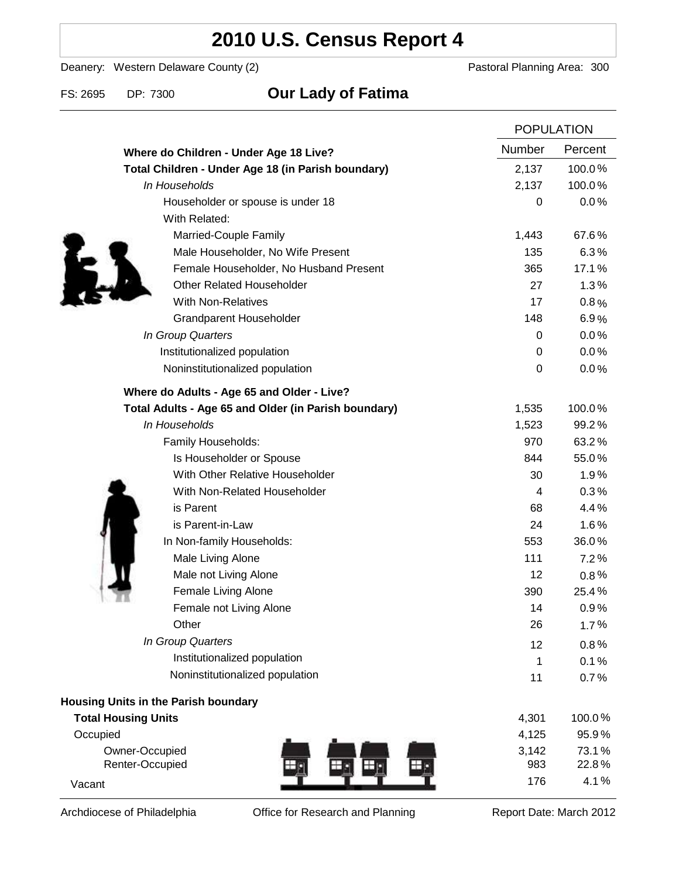# **2010 U.S. Census Report 4**

Deanery: Western Delaware County (2) Deanery: Western Delaware County (2)

### FS: 2695 DP: 7300 **Our Lady of Fatima**

|                                                      | <b>POPULATION</b> |         |
|------------------------------------------------------|-------------------|---------|
| Where do Children - Under Age 18 Live?               | <b>Number</b>     | Percent |
| Total Children - Under Age 18 (in Parish boundary)   | 2,137             | 100.0%  |
| In Households                                        | 2,137             | 100.0%  |
| Householder or spouse is under 18                    | 0                 | 0.0%    |
| With Related:                                        |                   |         |
| Married-Couple Family                                | 1,443             | 67.6%   |
| Male Householder, No Wife Present                    | 135               | 6.3%    |
| Female Householder, No Husband Present               | 365               | 17.1%   |
| <b>Other Related Householder</b>                     | 27                | 1.3%    |
| <b>With Non-Relatives</b>                            | 17                | 0.8%    |
| Grandparent Householder                              | 148               | 6.9%    |
| In Group Quarters                                    | 0                 | 0.0%    |
| Institutionalized population                         | 0                 | 0.0%    |
| Noninstitutionalized population                      | $\boldsymbol{0}$  | 0.0%    |
| Where do Adults - Age 65 and Older - Live?           |                   |         |
| Total Adults - Age 65 and Older (in Parish boundary) | 1,535             | 100.0%  |
| In Households                                        | 1,523             | 99.2%   |
| Family Households:                                   | 970               | 63.2%   |
| Is Householder or Spouse                             | 844               | 55.0%   |
| With Other Relative Householder                      | 30                | 1.9%    |
| With Non-Related Householder                         | 4                 | 0.3%    |
| is Parent                                            | 68                | 4.4%    |
| is Parent-in-Law                                     | 24                | 1.6%    |
| In Non-family Households:                            | 553               | 36.0%   |
| Male Living Alone                                    | 111               | 7.2%    |
| Male not Living Alone                                | 12                | $0.8\%$ |
| Female Living Alone                                  | 390               | 25.4%   |
| Female not Living Alone                              | 14                | 0.9%    |
| Other                                                | 26                | 1.7%    |
| In Group Quarters                                    | 12                | 0.8%    |
| Institutionalized population                         | 1                 | 0.1%    |
| Noninstitutionalized population                      | 11                | 0.7%    |
| <b>Housing Units in the Parish boundary</b>          |                   |         |
| <b>Total Housing Units</b>                           | 4,301             | 100.0%  |
| Occupied                                             | 4,125             | 95.9%   |
| Owner-Occupied                                       | 3,142             | 73.1%   |
| Renter-Occupied<br>Шç                                | 983               | 22.8%   |
| Vacant                                               | 176               | 4.1%    |

Archdiocese of Philadelphia **Office for Research and Planning** Report Date: March 2012